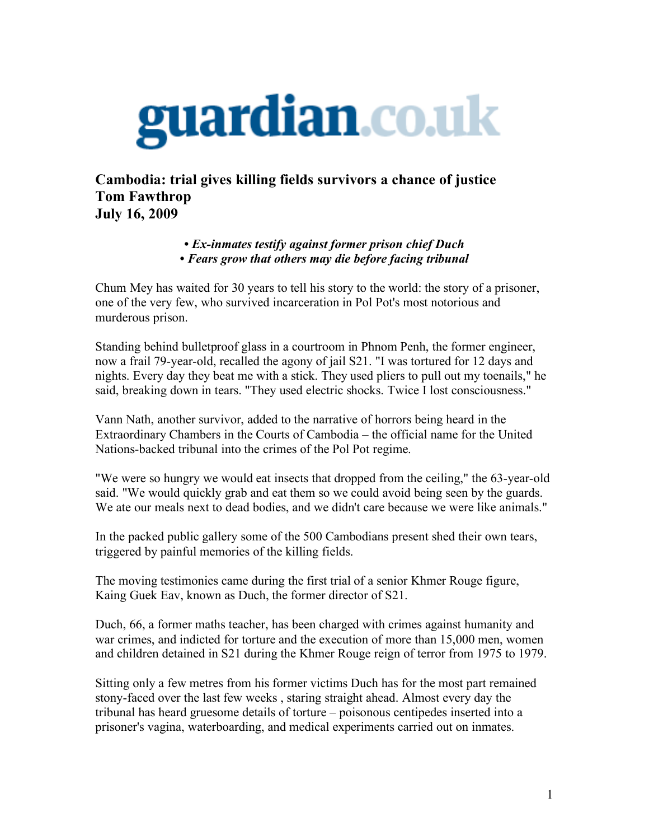

**Cambodia: trial gives killing fields survivors a chance of justice Tom Fawthrop July 16, 2009**

*• Ex-inmates testify against former prison chief Duch*

*• Fears grow that others may die before facing tribunal*

Chum Mey has waited for 30 years to tell his story to the world: the story of a prisoner, one of the very few, who survived incarceration in Pol Pot's most notorious and murderous prison.

Standing behind bulletproof glass in a courtroom in Phnom Penh, the former engineer, now a frail 79-year-old, recalled the agony of jail S21. "I was tortured for 12 days and nights. Every day they beat me with a stick. They used pliers to pull out my toenails," he said, breaking down in tears. "They used electric shocks. Twice I lost consciousness."

Vann Nath, another survivor, added to the narrative of horrors being heard in the Extraordinary Chambers in the Courts of Cambodia – the official name for the United Nations-backed tribunal into the crimes of the Pol Pot regime.

"We were so hungry we would eat insects that dropped from the ceiling," the 63-year-old said. "We would quickly grab and eat them so we could avoid being seen by the guards. We ate our meals next to dead bodies, and we didn't care because we were like animals."

In the packed public gallery some of the 500 Cambodians present shed their own tears, triggered by painful memories of the killing fields.

The moving testimonies came during the first trial of a senior Khmer Rouge figure, Kaing Guek Eav, known as Duch, the former director of S21.

Duch, 66, a former maths teacher, has been charged with crimes against humanity and war crimes, and indicted for torture and the execution of more than 15,000 men, women and children detained in S21 during the Khmer Rouge reign of terror from 1975 to 1979.

Sitting only a few metres from his former victims Duch has for the most part remained stony-faced over the last few weeks , staring straight ahead. Almost every day the tribunal has heard gruesome details of torture – poisonous centipedes inserted into a prisoner's vagina, waterboarding, and medical experiments carried out on inmates.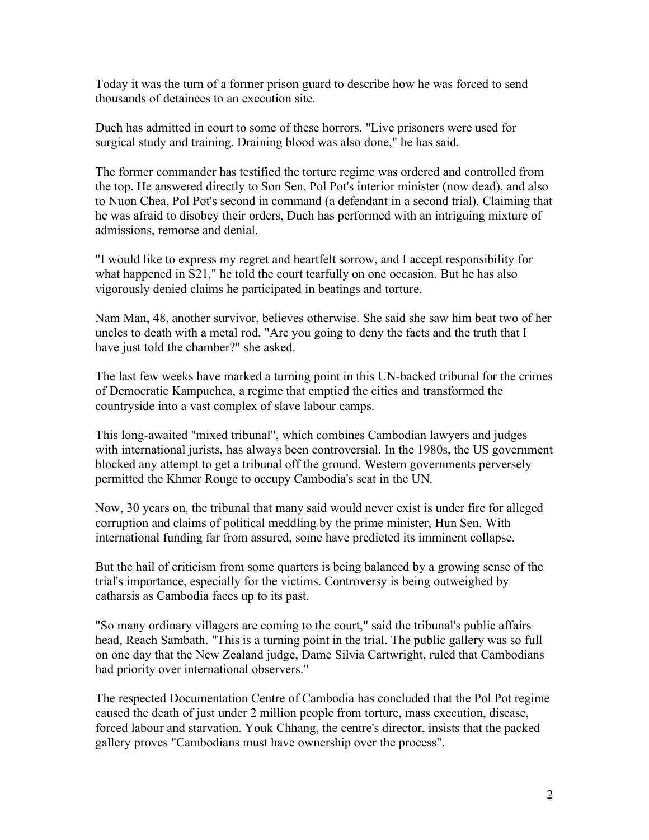Today it was the turn of a former prison guard to describe how he was forced to send thousands of detainees to an execution site.

Duch has admitted in court to some of these horrors. "Live prisoners were used for surgical study and training. Draining blood was also done," he has said.

The former commander has testified the torture regime was ordered and controlled from the top. He answered directly to Son Sen, Pol Pot's interior minister (now dead), and also to Nuon Chea, Pol Pot's second in command (a defendant in a second trial). Claiming that he was afraid to disobey their orders, Duch has performed with an intriguing mixture of admissions, remorse and denial.

"I would like to express my regret and heartfelt sorrow, and I accept responsibility for what happened in S21," he told the court tearfully on one occasion. But he has also vigorously denied claims he participated in beatings and torture.

Nam Man, 48, another survivor, believes otherwise. She said she saw him beat two of her uncles to death with a metal rod. "Are you going to deny the facts and the truth that I have just told the chamber?" she asked.

The last few weeks have marked a turning point in this UN-backed tribunal for the crimes of Democratic Kampuchea, a regime that emptied the cities and transformed the countryside into a vast complex of slave labour camps.

This long-awaited "mixed tribunal", which combines Cambodian lawyers and judges with international jurists, has always been controversial. In the 1980s, the US government blocked any attempt to get a tribunal off the ground. Western governments perversely permitted the Khmer Rouge to occupy Cambodia's seat in the UN.

Now, 30 years on, the tribunal that many said would never exist is under fire for alleged corruption and claims of political meddling by the prime minister, Hun Sen. With international funding far from assured, some have predicted its imminent collapse.

But the hail of criticism from some quarters is being balanced by a growing sense of the trial's importance, especially for the victims. Controversy is being outweighed by catharsis as Cambodia faces up to its past.

"So many ordinary villagers are coming to the court," said the tribunal's public affairs head, Reach Sambath. "This is a turning point in the trial. The public gallery was so full on one day that the New Zealand judge, Dame Silvia Cartwright, ruled that Cambodians had priority over international observers."

The respected Documentation Centre of Cambodia has concluded that the Pol Pot regime caused the death of just under 2 million people from torture, mass execution, disease, forced labour and starvation. Youk Chhang, the centre's director, insists that the packed gallery proves "Cambodians must have ownership over the process".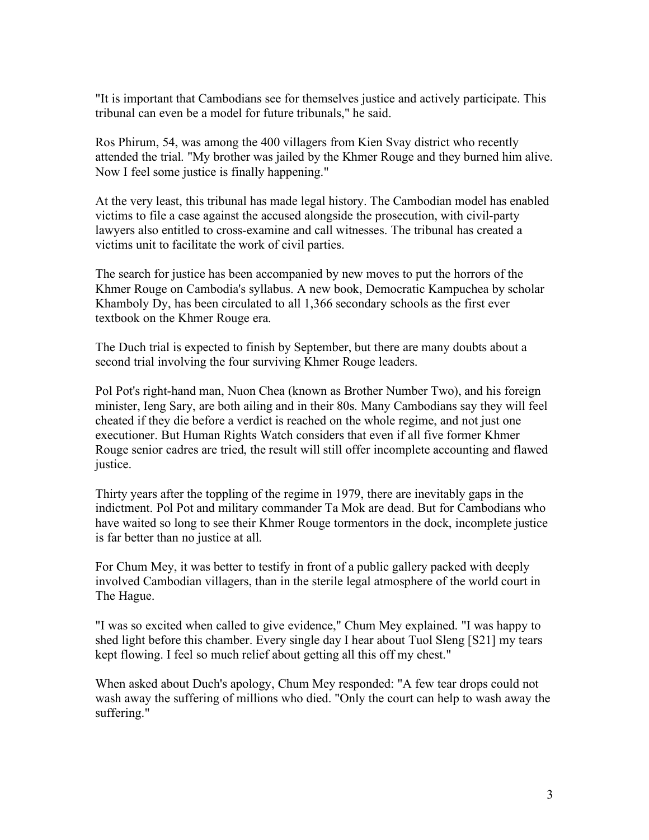"It is important that Cambodians see for themselves justice and actively participate. This tribunal can even be a model for future tribunals," he said.

Ros Phirum, 54, was among the 400 villagers from Kien Svay district who recently attended the trial. "My brother was jailed by the Khmer Rouge and they burned him alive. Now I feel some justice is finally happening."

At the very least, this tribunal has made legal history. The Cambodian model has enabled victims to file a case against the accused alongside the prosecution, with civil-party lawyers also entitled to cross-examine and call witnesses. The tribunal has created a victims unit to facilitate the work of civil parties.

The search for justice has been accompanied by new moves to put the horrors of the Khmer Rouge on Cambodia's syllabus. A new book, Democratic Kampuchea by scholar Khamboly Dy, has been circulated to all 1,366 secondary schools as the first ever textbook on the Khmer Rouge era.

The Duch trial is expected to finish by September, but there are many doubts about a second trial involving the four surviving Khmer Rouge leaders.

Pol Pot's right-hand man, Nuon Chea (known as Brother Number Two), and his foreign minister, Ieng Sary, are both ailing and in their 80s. Many Cambodians say they will feel cheated if they die before a verdict is reached on the whole regime, and not just one executioner. But Human Rights Watch considers that even if all five former Khmer Rouge senior cadres are tried, the result will still offer incomplete accounting and flawed justice.

Thirty years after the toppling of the regime in 1979, there are inevitably gaps in the indictment. Pol Pot and military commander Ta Mok are dead. But for Cambodians who have waited so long to see their Khmer Rouge tormentors in the dock, incomplete justice is far better than no justice at all.

For Chum Mey, it was better to testify in front of a public gallery packed with deeply involved Cambodian villagers, than in the sterile legal atmosphere of the world court in The Hague.

"I was so excited when called to give evidence," Chum Mey explained. "I was happy to shed light before this chamber. Every single day I hear about Tuol Sleng [S21] my tears kept flowing. I feel so much relief about getting all this off my chest."

When asked about Duch's apology, Chum Mey responded: "A few tear drops could not wash away the suffering of millions who died. "Only the court can help to wash away the suffering."